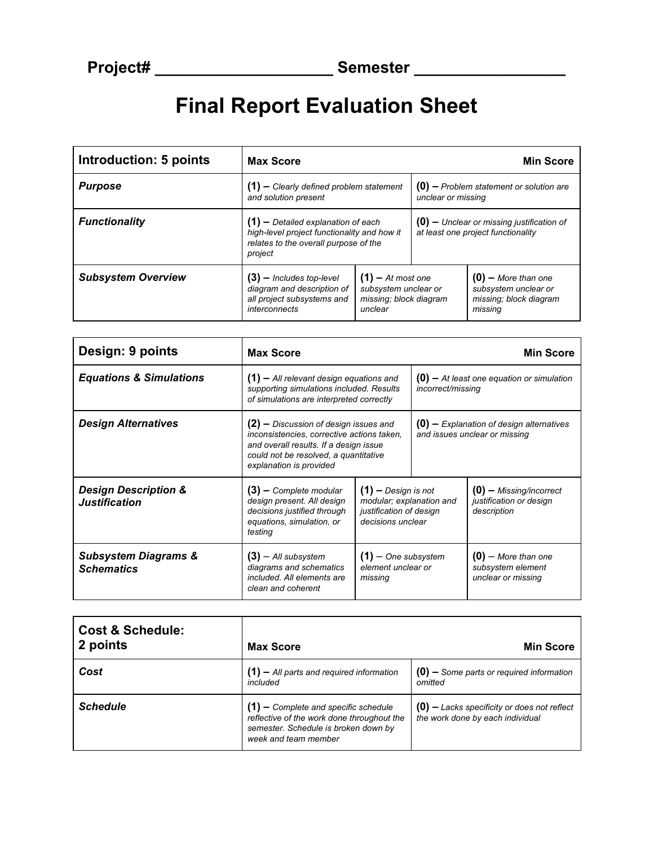## **Final Report Evaluation Sheet**

| Introduction: 5 points    | <b>Max Score</b>                                                                                                                        |                                                                                  |                                                                                   | <b>Min Score</b>                                                                   |
|---------------------------|-----------------------------------------------------------------------------------------------------------------------------------------|----------------------------------------------------------------------------------|-----------------------------------------------------------------------------------|------------------------------------------------------------------------------------|
| <b>Purpose</b>            | $(1)$ – Clearly defined problem statement<br>and solution present                                                                       |                                                                                  | $(0)$ – Problem statement or solution are<br>unclear or missing                   |                                                                                    |
| <b>Functionality</b>      | $(1)$ – Detailed explanation of each<br>high-level project functionality and how it<br>relates to the overall purpose of the<br>project |                                                                                  | $(0)$ – Unclear or missing justification of<br>at least one project functionality |                                                                                    |
| <b>Subsystem Overview</b> | $(3)$ – Includes top-level<br>diagram and description of<br>all project subsystems and<br>interconnects                                 | $(1)$ – At most one<br>subsystem unclear or<br>missing; block diagram<br>unclear |                                                                                   | $(0)$ – More than one<br>subsystem unclear or<br>missing; block diagram<br>missing |

| Design: 9 points                                        | <b>Max Score</b>                                                                                                                                                                                    |                                                                                                   |                                                                             | <b>Min Score</b>                                                    |
|---------------------------------------------------------|-----------------------------------------------------------------------------------------------------------------------------------------------------------------------------------------------------|---------------------------------------------------------------------------------------------------|-----------------------------------------------------------------------------|---------------------------------------------------------------------|
| <b>Equations &amp; Simulations</b>                      | $(1)$ – All relevant design equations and<br>supporting simulations included. Results<br>of simulations are interpreted correctly                                                                   |                                                                                                   | $(0)$ – At least one equation or simulation<br>incorrect/missing            |                                                                     |
| <b>Design Alternatives</b>                              | $(2)$ – Discussion of design issues and<br>inconsistencies, corrective actions taken,<br>and overall results. If a design issue<br>could not be resolved, a quantitative<br>explanation is provided |                                                                                                   | $(0)$ – Explanation of design alternatives<br>and issues unclear or missing |                                                                     |
| <b>Design Description &amp;</b><br><b>Justification</b> | $(3)$ – Complete modular<br>design present. All design<br>decisions justified through<br>equations, simulation, or<br>testing                                                                       | $(1)$ - Design is not<br>modular; explanation and<br>justification of design<br>decisions unclear |                                                                             | $(0)$ – Missing/incorrect<br>justification or design<br>description |
| <b>Subsystem Diagrams &amp;</b><br><b>Schematics</b>    | $(3)$ – All subsystem<br>diagrams and schematics<br>included. All elements are<br>clean and coherent                                                                                                | $(1)$ - One subsystem<br>element unclear or<br>missing                                            |                                                                             | $(0)$ – More than one<br>subsystem element<br>unclear or missing    |

| <b>Cost &amp; Schedule:</b><br>2 points | <b>Max Score</b>                                                                                                                                     | <b>Min Score</b>                                                                  |
|-----------------------------------------|------------------------------------------------------------------------------------------------------------------------------------------------------|-----------------------------------------------------------------------------------|
| Cost                                    | $(1)$ – All parts and required information<br>included                                                                                               | $(0)$ – Some parts or required information<br>omitted                             |
| <b>Schedule</b>                         | $(1)$ – Complete and specific schedule<br>reflective of the work done throughout the<br>semester. Schedule is broken down by<br>week and team member | $(0)$ – Lacks specificity or does not reflect<br>the work done by each individual |